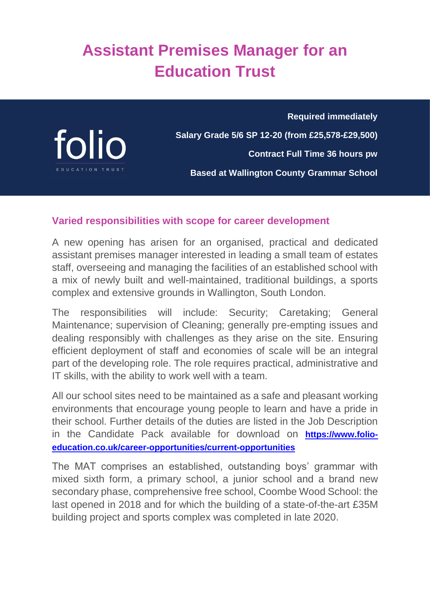# **Assistant Premises Manager for an Education Trust**



**Required immediately Salary Grade 5/6 SP 12-20 (from £25,578-£29,500) Contract Full Time 36 hours pw Based at Wallington County Grammar School**

# **Varied responsibilities with scope for career development**

A new opening has arisen for an organised, practical and dedicated assistant premises manager interested in leading a small team of estates staff, overseeing and managing the facilities of an established school with a mix of newly built and well-maintained, traditional buildings, a sports complex and extensive grounds in Wallington, South London.

The responsibilities will include: Security; Caretaking; General Maintenance; supervision of Cleaning; generally pre-empting issues and dealing responsibly with challenges as they arise on the site. Ensuring efficient deployment of staff and economies of scale will be an integral part of the developing role. The role requires practical, administrative and IT skills, with the ability to work well with a team.

All our school sites need to be maintained as a safe and pleasant working environments that encourage young people to learn and have a pride in their school. Further details of the duties are listed in the Job Description in the Candidate Pack available for download on **[https://www.folio](https://www.folio-education.co.uk/career-opportunities/current-opportunities)[education.co.uk/career-opportunities/current-opportunities](https://www.folio-education.co.uk/career-opportunities/current-opportunities)**

The MAT comprises an established, outstanding boys' grammar with mixed sixth form, a primary school, a junior school and a brand new secondary phase, comprehensive free school, Coombe Wood School: the last opened in 2018 and for which the building of a state-of-the-art £35M building project and sports complex was completed in late 2020.